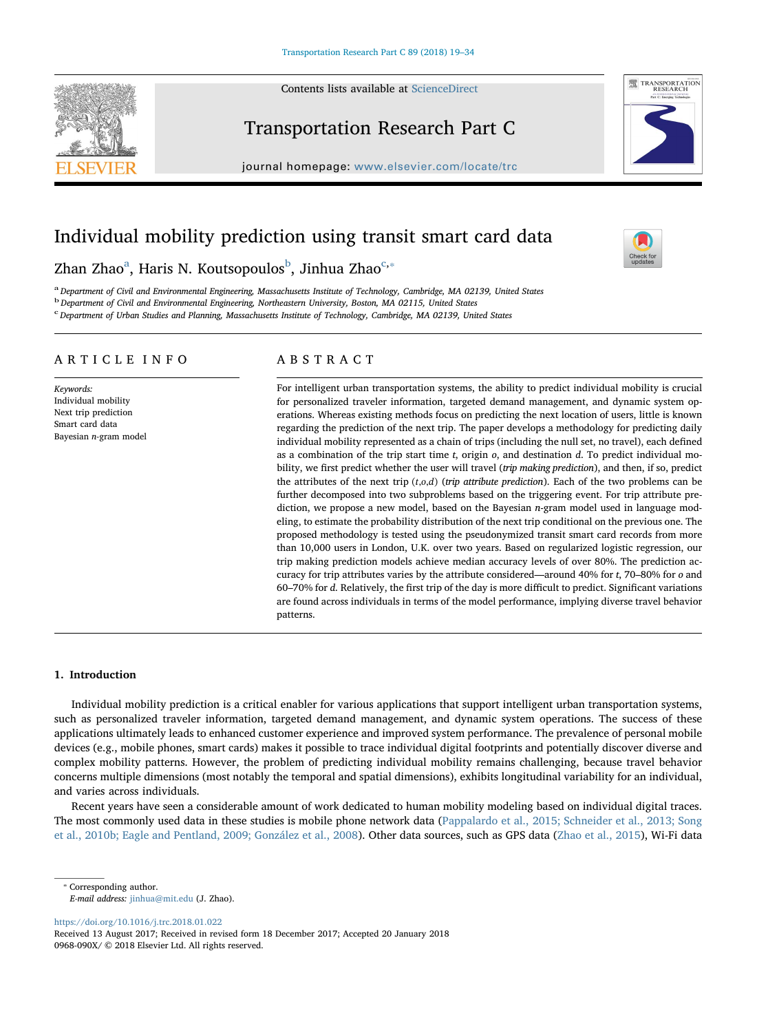Contents lists available at [ScienceDirect](http://www.sciencedirect.com/science/journal/0968090X)





ne<sup>1</sup>

# Transportation Research Part C

journal homepage: [www.elsevier.com/locate/trc](https://www.elsevier.com/locate/trc)

## Individual mobility prediction using transit smart card data

## Zhan Zhao<sup>a</sup>, Haris N. Koutsopoulos<sup>b</sup>, Jinhua Zhao<sup>c,</sup>\*

a Department of Civil and Environmental Engineering, Massachusetts Institute of Technology, Cambridge, MA 02139, United States

<sup>b</sup> Department of Civil and Environmental Engineering, Northeastern University, Boston, MA 02115, United States

<sup>c</sup> Department of Urban Studies and Planning, Massachusetts Institute of Technology, Cambridge, MA 02139, United States

### ARTICLE INFO

Keywords: Individual mobility Next trip prediction Smart card data Bayesian n-gram model

## ABSTRACT

For intelligent urban transportation systems, the ability to predict individual mobility is crucial for personalized traveler information, targeted demand management, and dynamic system operations. Whereas existing methods focus on predicting the next location of users, little is known regarding the prediction of the next trip. The paper develops a methodology for predicting daily individual mobility represented as a chain of trips (including the null set, no travel), each defined as a combination of the trip start time  $t$ , origin  $o$ , and destination  $d$ . To predict individual mobility, we first predict whether the user will travel (trip making prediction), and then, if so, predict the attributes of the next trip  $(t, o, d)$  (*trip attribute prediction*). Each of the two problems can be further decomposed into two subproblems based on the triggering event. For trip attribute prediction, we propose a new model, based on the Bayesian n-gram model used in language modeling, to estimate the probability distribution of the next trip conditional on the previous one. The proposed methodology is tested using the pseudonymized transit smart card records from more than 10,000 users in London, U.K. over two years. Based on regularized logistic regression, our trip making prediction models achieve median accuracy levels of over 80%. The prediction accuracy for trip attributes varies by the attribute considered—around 40% for t, 70–80% for o and 60–70% for d. Relatively, the first trip of the day is more difficult to predict. Significant variations are found across individuals in terms of the model performance, implying diverse travel behavior patterns.

#### 1. Introduction

Individual mobility prediction is a critical enabler for various applications that support intelligent urban transportation systems, such as personalized traveler information, targeted demand management, and dynamic system operations. The success of these applications ultimately leads to enhanced customer experience and improved system performance. The prevalence of personal mobile devices (e.g., mobile phones, smart cards) makes it possible to trace individual digital footprints and potentially discover diverse and complex mobility patterns. However, the problem of predicting individual mobility remains challenging, because travel behavior concerns multiple dimensions (most notably the temporal and spatial dimensions), exhibits longitudinal variability for an individual, and varies across individuals.

Recent years have seen a considerable amount of work dedicated to human mobility modeling based on individual digital traces. The most commonly used data in these studies is mobile phone network data (Pappalardo et al., 2015; Schneider et al., 2013; Song et al., 2010b; Eagle and Pentland, 2009; González et al., 2008). Other data sources, such as GPS data (Zhao et al., 2015), Wi-Fi data

⁎ Corresponding author.

<https://doi.org/10.1016/j.trc.2018.01.022>

Received 13 August 2017; Received in revised form 18 December 2017; Accepted 20 January 2018 0968-090X/ © 2018 Elsevier Ltd. All rights reserved.

E-mail address: [jinhua@mit.edu](mailto:jinhua@mit.edu) (J. Zhao).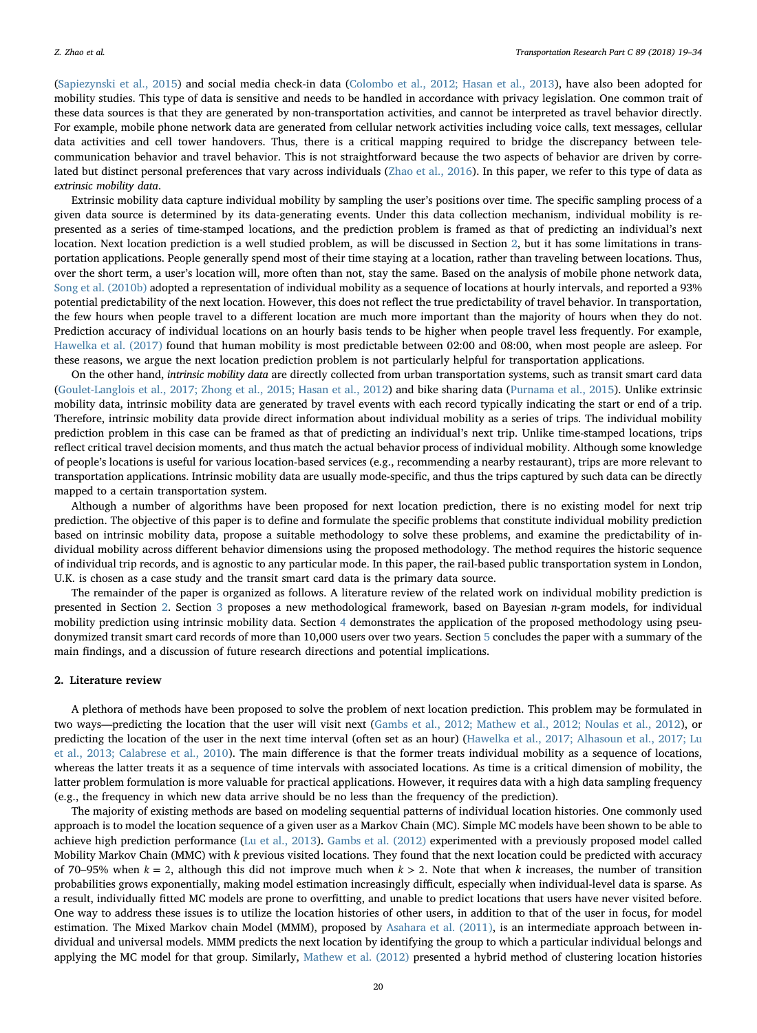(Sapiezynski et al., 2015) and social media check-in data (Colombo et al., 2012; Hasan et al., 2013), have also been adopted for mobility studies. This type of data is sensitive and needs to be handled in accordance with privacy legislation. One common trait of these data sources is that they are generated by non-transportation activities, and cannot be interpreted as travel behavior directly. For example, mobile phone network data are generated from cellular network activities including voice calls, text messages, cellular data activities and cell tower handovers. Thus, there is a critical mapping required to bridge the discrepancy between telecommunication behavior and travel behavior. This is not straightforward because the two aspects of behavior are driven by correlated but distinct personal preferences that vary across individuals (Zhao et al., 2016). In this paper, we refer to this type of data as extrinsic mobility data.

Extrinsic mobility data capture individual mobility by sampling the user's positions over time. The specific sampling process of a given data source is determined by its data-generating events. Under this data collection mechanism, individual mobility is represented as a series of time-stamped locations, and the prediction problem is framed as that of predicting an individual's next location. Next location prediction is a well studied problem, as will be discussed in Section 2, but it has some limitations in transportation applications. People generally spend most of their time staying at a location, rather than traveling between locations. Thus, over the short term, a user's location will, more often than not, stay the same. Based on the analysis of mobile phone network data, Song et al. (2010b) adopted a representation of individual mobility as a sequence of locations at hourly intervals, and reported a 93% potential predictability of the next location. However, this does not reflect the true predictability of travel behavior. In transportation, the few hours when people travel to a different location are much more important than the majority of hours when they do not. Prediction accuracy of individual locations on an hourly basis tends to be higher when people travel less frequently. For example, Hawelka et al. (2017) found that human mobility is most predictable between 02:00 and 08:00, when most people are asleep. For these reasons, we argue the next location prediction problem is not particularly helpful for transportation applications.

On the other hand, intrinsic mobility data are directly collected from urban transportation systems, such as transit smart card data (Goulet-Langlois et al., 2017; Zhong et al., 2015; Hasan et al., 2012) and bike sharing data (Purnama et al., 2015). Unlike extrinsic mobility data, intrinsic mobility data are generated by travel events with each record typically indicating the start or end of a trip. Therefore, intrinsic mobility data provide direct information about individual mobility as a series of trips. The individual mobility prediction problem in this case can be framed as that of predicting an individual's next trip. Unlike time-stamped locations, trips reflect critical travel decision moments, and thus match the actual behavior process of individual mobility. Although some knowledge of people's locations is useful for various location-based services (e.g., recommending a nearby restaurant), trips are more relevant to transportation applications. Intrinsic mobility data are usually mode-specific, and thus the trips captured by such data can be directly mapped to a certain transportation system.

Although a number of algorithms have been proposed for next location prediction, there is no existing model for next trip prediction. The objective of this paper is to define and formulate the specific problems that constitute individual mobility prediction based on intrinsic mobility data, propose a suitable methodology to solve these problems, and examine the predictability of individual mobility across different behavior dimensions using the proposed methodology. The method requires the historic sequence of individual trip records, and is agnostic to any particular mode. In this paper, the rail-based public transportation system in London, U.K. is chosen as a case study and the transit smart card data is the primary data source.

The remainder of the paper is organized as follows. A literature review of the related work on individual mobility prediction is presented in Section 2. Section 3 proposes a new methodological framework, based on Bayesian n-gram models, for individual mobility prediction using intrinsic mobility data. Section 4 demonstrates the application of the proposed methodology using pseudonymized transit smart card records of more than 10,000 users over two years. Section 5 concludes the paper with a summary of the main findings, and a discussion of future research directions and potential implications.

#### 2. Literature review

A plethora of methods have been proposed to solve the problem of next location prediction. This problem may be formulated in two ways—predicting the location that the user will visit next (Gambs et al., 2012; Mathew et al., 2012; Noulas et al., 2012), or predicting the location of the user in the next time interval (often set as an hour) (Hawelka et al., 2017; Alhasoun et al., 2017; Lu et al., 2013; Calabrese et al., 2010). The main difference is that the former treats individual mobility as a sequence of locations, whereas the latter treats it as a sequence of time intervals with associated locations. As time is a critical dimension of mobility, the latter problem formulation is more valuable for practical applications. However, it requires data with a high data sampling frequency (e.g., the frequency in which new data arrive should be no less than the frequency of the prediction).

The majority of existing methods are based on modeling sequential patterns of individual location histories. One commonly used approach is to model the location sequence of a given user as a Markov Chain (MC). Simple MC models have been shown to be able to achieve high prediction performance (Lu et al., 2013). Gambs et al. (2012) experimented with a previously proposed model called Mobility Markov Chain (MMC) with k previous visited locations. They found that the next location could be predicted with accuracy of 70–95% when  $k = 2$ , although this did not improve much when  $k > 2$ . Note that when k increases, the number of transition probabilities grows exponentially, making model estimation increasingly difficult, especially when individual-level data is sparse. As a result, individually fitted MC models are prone to overfitting, and unable to predict locations that users have never visited before. One way to address these issues is to utilize the location histories of other users, in addition to that of the user in focus, for model estimation. The Mixed Markov chain Model (MMM), proposed by Asahara et al. (2011), is an intermediate approach between individual and universal models. MMM predicts the next location by identifying the group to which a particular individual belongs and applying the MC model for that group. Similarly, Mathew et al. (2012) presented a hybrid method of clustering location histories